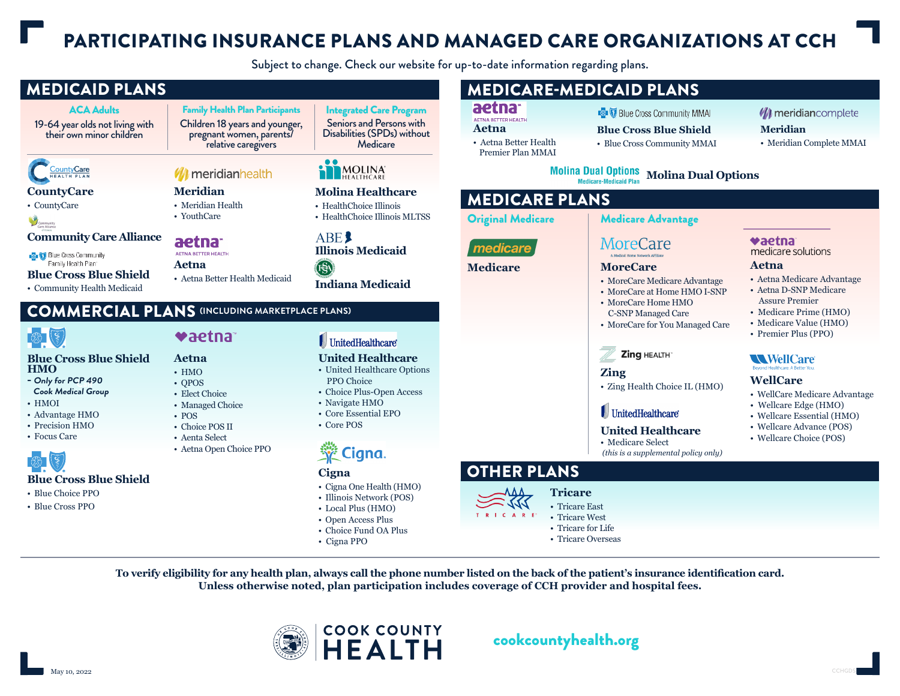## PARTICIPATING INSURANCE PLANS AND MANAGED CARE ORGANIZATIONS AT CCH

Subject to change. Check our website for up-to-date information regarding plans.

## MEDICAID PLANS MEDICARE-MEDICAID PLANS aetna<sup>.</sup> ACA Adults Family Health Plan Participants Integrated Care Program ■ D Blue Cross Community MMAI *M* meridiancomplete **AFTNA BETTER HEALTH** Children 18 years and younger, Seniors and Persons with 19-64 year olds not living with their own minor children **Aetna Meridian Blue Cross Blue Shield** Disabilities (SPDs) without pregnant women, parents/ relative caregivers • Aetna Better Health • Blue Cross Community MMAI • Meridian Complete MMAI Medicare Premier Plan MMAI **MOLINA Molina Dual OptionsCountyCare M** meridianhealth **Medicare-Medicaid Plan CountyCare Meridian Molina Healthcare** MEDICARE PLANS • HealthChoice Illinois • CountyCare • Meridian Health • YouthCare • HealthChoice Illinois MLTSS Community Original Medicare Medicare Advantage **Community Care Alliance ABE!** aetna  $\bullet$ aetna MoreCare medicare **Illinois Medicaid** medicare solutions **Blue Cross Community AFTNA RETTER HEALTH** Family Health Plant **IFSA Aetna Medicare MoreCare Aetna Blue Cross Blue Shield** • Aetna Better Health Medicaid • Aetna Medicare Advantage • MoreCare Medicare Advantage **Indiana Medicaid** • Community Health Medicaid • Aetna D-SNP Medicare • MoreCare at Home HMO I-SNP Assure Premier • MoreCare Home HMO COMMERCIAL PLANS **(INCLUDING MARKETPLACE PLANS)** C-SNP Managed Care • Medicare Prime (HMO) • Medicare Value (HMO) • MoreCare for You Managed Care  $\bullet$ aetna • Premier Plus (PPO) UnitedHealthcare **Zing HEALTH Blue Cross Blue Shield United Healthcare WellCare Aetna HMO** • United Healthcare Options • HMO **Zing Call - Only for PCP 490**  PPO Choice **WellCare** • QPOS • Zing Health Choice IL (HMO)  **Cook Medical Group** • Choice Plus-Open Access • Elect Choice • WellCare Medicare Advantage • Navigate HMO • HMOI • Managed Choice • Wellcare Edge (HMO) Ill UnitedHealthcare • Core Essential EPO • Advantage HMO • Wellcare Essential (HMO) • POS • Core POS • Precision HMO • Choice POS II • Wellcare Advance (POS) **United Healthcare** • Focus Care • Aenta Select • Wellcare Choice (POS) • Medicare Select • Aetna Open Choice PPO 巡 Cigna.  *(this is a supplemental policy only)* OTHER PLANS **Cigna Blue Cross Blue Shield**  • Cigna One Health (HMO) • Blue Choice PPO **Tricare**  • Illinois Network (POS) • Blue Cross PPO • Tricare East • Local Plus (HMO) TRICARE<sup>\*</sup> • Tricare West • Open Access Plus • Tricare for Life • Choice Fund OA Plus • Tricare Overseas • Cigna PPO **To verify eligibility for any health plan, always call the phone number listed on the back of the patient's insurance identification card. Unless otherwise noted, plan participation includes coverage of CCH provider and hospital fees.**



cookcountyhealth.org